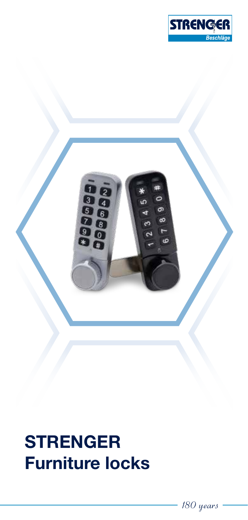

ø ā

# **STRENGER Furniture locks**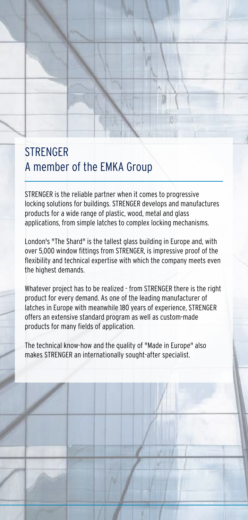#### STRENGER A member of the EMKA Group

STRENGER is the reliable partner when it comes to progressive locking solutions for buildings. STRENGER develops and manufactures products for a wide range of plastic, wood, metal and glass applications, from simple latches to complex locking mechanisms.

London's "The Shard" is the tallest glass building in Europe and, with over 5,000 window fittings from STRENGER, is impressive proof of the flexibility and technical expertise with which the company meets even the highest demands.

Whatever project has to be realized - from STRENGER there is the right product for every demand. As one of the leading manufacturer of latches in Europe with meanwhile 180 years of experience, STRENGER offers an extensive standard program as well as custom-made products for many fields of application.

The technical know-how and the quality of "Made in Europe" also makes STRENGER an internationally sought-after specialist.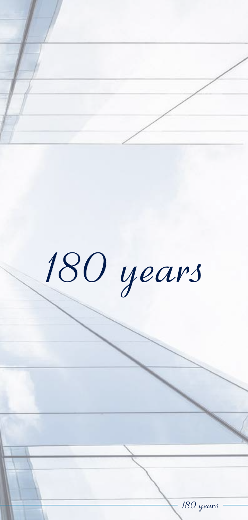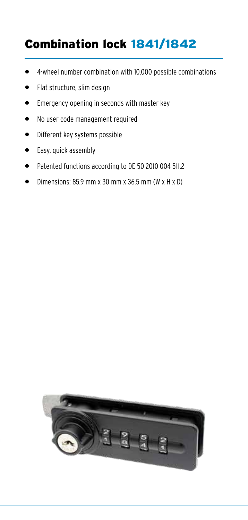## Combination lock 1841/1842

- 4-wheel number combination with 10,000 possible combinations
- Flat structure, slim design
- Emergency opening in seconds with master key
- No user code management required
- Different key systems possible
- Easy, quick assembly
- Patented functions according to DE 50 2010 004 511.2
- Dimensions: 85.9 mm x 30 mm x 36.5 mm (W x H x D)

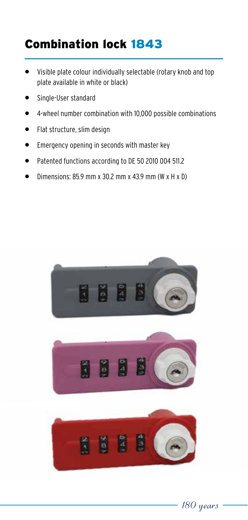## Combination lock 1843

- Visible plate colour individually selectable (rotary knob and top plate available in white or black)
- Single-User standard
- 4-wheel number combination with 10,000 possible combinations
- Flat structure, slim design
- Emergency opening in seconds with master key
- Patented functions according to DE 50 2010 004 511.2
- Dimensions: 85.9 mm x 30.2 mm x 43.9 mm (W x H x D)







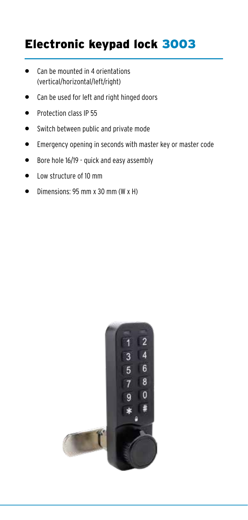#### Electronic keypad lock 3003

- Can be mounted in 4 orientations (vertical/horizontal/left/right)
- Can be used for left and right hinged doors
- Protection class IP 55
- Switch between public and private mode
- Emergency opening in seconds with master key or master code
- Bore hole 16/19 quick and easy assembly
- Low structure of 10 mm
- Dimensions: 95 mm x 30 mm (W x H)

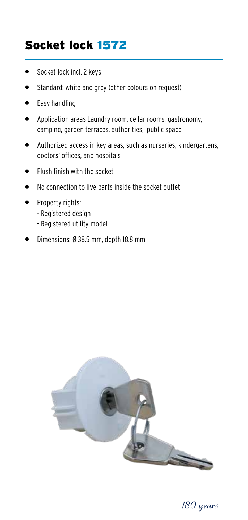## Socket lock 1572

- Socket lock incl. 2 keys
- Standard: white and grey (other colours on request)
- Easy handling
- Application areas Laundry room, cellar rooms, gastronomy, camping, garden terraces, authorities, public space
- Authorized access in key areas, such as nurseries, kindergartens, doctors' offices, and hospitals
- Flush finish with the socket
- No connection to live parts inside the socket outlet
- Property rights:
	- Registered design
	- Registered utility model
- Dimensions: Ø 38.5 mm, depth 18.8 mm

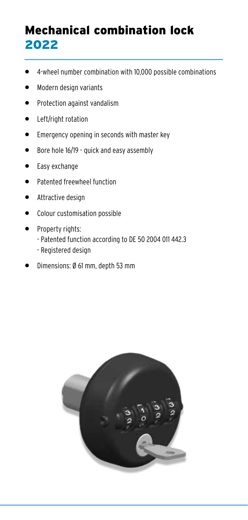## Mechanical combination lock 2022

- 4-wheel number combination with 10,000 possible combinations
- Modern design variants
- Protection against vandalism
- Left/right rotation
- Emergency opening in seconds with master key
- Bore hole 16/19 quick and easy assembly
- Easy exchange
- Patented freewheel function
- Attractive design
- Colour customisation possible
- Property rights:
	- Patented function according to DE 50 2004 011 442.3
	- Registered design
- Dimensions: Ø 61 mm, depth 53 mm

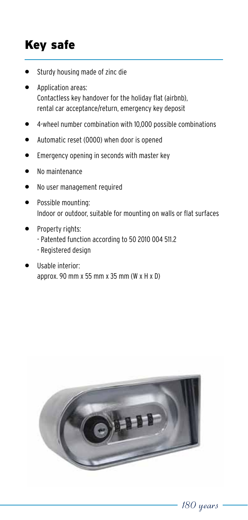# Key safe

- Sturdy housing made of zinc die
- Application areas: Contactless key handover for the holiday flat (airbnb), rental car acceptance/return, emergency key deposit
- 4-wheel number combination with 10,000 possible combinations
- Automatic reset (0000) when door is opened
- Emergency opening in seconds with master key
- No maintenance
- No user management required
- Possible mounting: Indoor or outdoor, suitable for mounting on walls or flat surfaces
- Property rights:
	- Patented function according to 50 2010 004 511.2
	- Registered design
- Usable interior: approx. 90 mm x 55 mm x 35 mm (W x H x D)